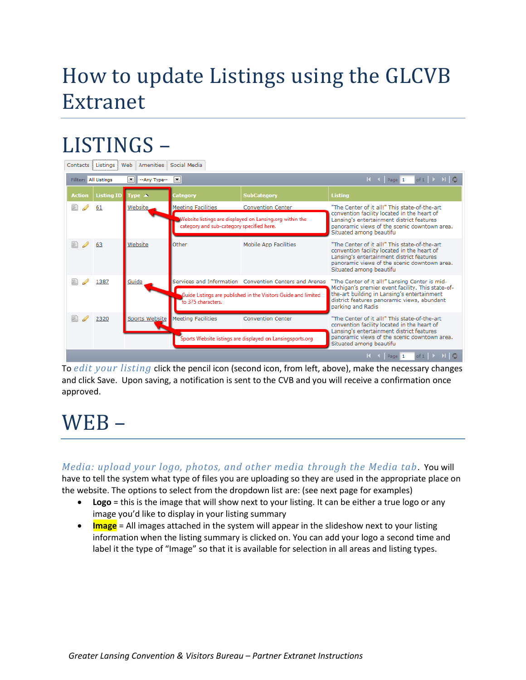## How to update Listings using the GLCVB Extranet

## LISTINGS –

| Web   Amenities   Social Media<br>Contacts   Listings                                 |                   |                       |                                                                                                       |                                                        |                                                                                                                                                                                                                      |
|---------------------------------------------------------------------------------------|-------------------|-----------------------|-------------------------------------------------------------------------------------------------------|--------------------------------------------------------|----------------------------------------------------------------------------------------------------------------------------------------------------------------------------------------------------------------------|
| $\blacksquare$<br><b>Filter: All Listings</b><br>$\blacktriangledown$<br>--Any Type-- |                   |                       |                                                                                                       |                                                        | of $1 \rightarrow H$ 0                                                                                                                                                                                               |
| <b>Action</b>                                                                         | <b>Listing ID</b> | Type $\blacktriangle$ | <b>Category</b>                                                                                       | <b>SubCategory</b>                                     | <b>Listing</b>                                                                                                                                                                                                       |
|                                                                                       | 61                | <b>Website</b>        | <b>Meeting Facilities</b>                                                                             | <b>Convention Center</b>                               | "The Center of it all!" This state-of-the-art                                                                                                                                                                        |
|                                                                                       |                   |                       | Website listings are displayed on Lansing.org within the<br>category and sub-category specified here. |                                                        | convention facility located in the heart of<br>Lansing's entertainment district features<br>panoramic views of the scenic downtown area.<br>Situated among beautifu                                                  |
| $\oslash$ 63                                                                          |                   | Website               | Other                                                                                                 | Mobile App Facilities                                  | "The Center of it all!" This state-of-the-art<br>convention facility located in the heart of<br>Lansing's entertainment district features<br>panoramic views of the scenic downtown area.<br>Situated among beautifu |
|                                                                                       | 1387              | Guide                 |                                                                                                       | Services and Information Convention Centers and Arenas | "The Center of it all!" Lansing Center is mid-<br>Michigan's premier event facility. This state-of-                                                                                                                  |
|                                                                                       |                   |                       | Guide Listings are published in the Visitors Guide and limited<br>to 375 characters.                  |                                                        | the-art building in Lansing's entertainment<br>district features panoramic views, abundant<br>parking and Radis                                                                                                      |
| $\mathscr{D}$                                                                         | 2320              |                       | Sports Website   Meeting Facilities                                                                   | <b>Convention Center</b>                               | "The Center of it all!" This state-of-the-art<br>convention facility located in the heart of<br>Lansing's entertainment district features                                                                            |
|                                                                                       |                   |                       | Sports Website listings are displayed on Lansingsports.org                                            |                                                        | panoramic views of the scenic downtown area.<br>Situated among beautifu                                                                                                                                              |
| of $1 \rightarrow \overline{1}$ $\circ$<br>$H = 1$<br>Page 1                          |                   |                       |                                                                                                       |                                                        |                                                                                                                                                                                                                      |

To *edit your listing* click the pencil icon (second icon, from left, above), make the necessary changes and click Save. Upon saving, a notification is sent to the CVB and you will receive a confirmation once approved.

## WEB –

*Media: upload your logo, photos, and other media through the Media tab*. You will have to tell the system what type of files you are uploading so they are used in the appropriate place on

the website. The options to select from the dropdown list are: (see next page for examples)

- **Logo** = this is the image that will show next to your listing. It can be either a true logo or any image you'd like to display in your listing summary
- **Image** = All images attached in the system will appear in the slideshow next to your listing information when the listing summary is clicked on. You can add your logo a second time and label it the type of "Image" so that it is available for selection in all areas and listing types.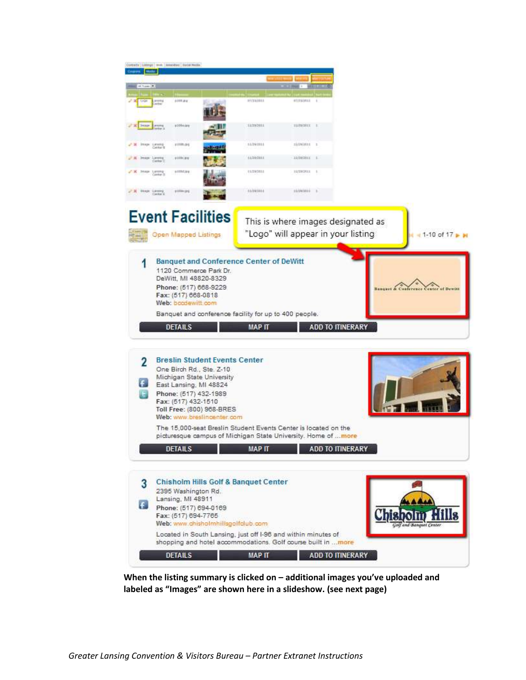

**When the listing summary is clicked on – additional images you've uploaded and labeled as "Images" are shown here in a slideshow. (see next page)**